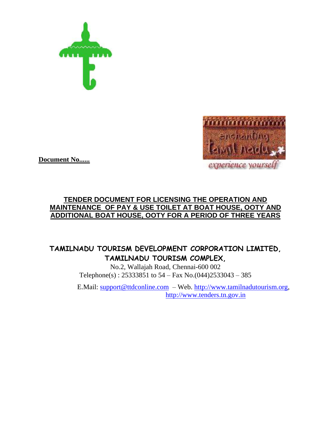



**Document No......**

# **TENDER DOCUMENT FOR LICENSING THE OPERATION AND MAINTENANCE OF PAY & USE TOILET AT BOAT HOUSE, OOTY AND ADDITIONAL BOAT HOUSE, OOTY FOR A PERIOD OF THREE YEARS**

# **TAMILNADU TOURISM DEVELOPMENT CORPORATION LIMITED, TAMILNADU TOURISM COMPLEX,**

No.2, Wallajah Road, Chennai-600 002 Telephone(s) : 25333851 to 54 – Fax No.(044)2533043 – 385

E.Mail: [support@ttdconline.com](mailto:support@ttdconline.com) – Web. [http://www.tamilnadutourism.org,](http://www.tamilnadutourism.org/) [http://www.tenders.tn.gov.in](http://www.tenders.tn.gov.in/)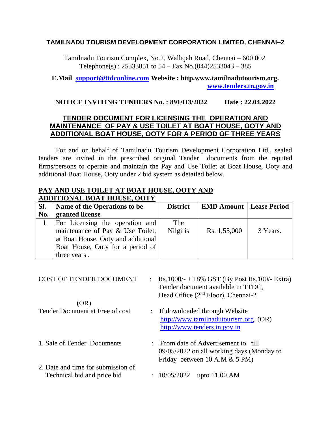### **TAMILNADU TOURISM DEVELOPMENT CORPORATION LIMITED, CHENNAI–2**

Tamilnadu Tourism Complex, No.2, Wallajah Road, Chennai – 600 002. Telephone(s):  $25333851$  to  $54 - Fax$  No.(044) $2533043 - 385$ 

### **E.Mail [support@ttdconline.com](mailto:support@ttdconline.com) Website : http.www.tamilnadutourism.org. [www.tenders.tn.gov.in](http://www.tenders.tn.gov.in/)**

#### **NOTICE INVITING TENDERS No. : 891/H3/2022 Date : 22.04.2022**

# **TENDER DOCUMENT FOR LICENSING THE OPERATION AND MAINTENANCE OF PAY & USE TOILET AT BOAT HOUSE, OOTY AND ADDITIONAL BOAT HOUSE, OOTY FOR A PERIOD OF THREE YEARS**

For and on behalf of Tamilnadu Tourism Development Corporation Ltd., sealed tenders are invited in the prescribed original Tender documents from the reputed firms/persons to operate and maintain the Pay and Use Toilet at Boat House, Ooty and additional Boat House, Ooty under 2 bid system as detailed below.

#### **PAY AND USE TOILET AT BOAT HOUSE, OOTY AND ADDITIONAL BOAT HOUSE, OOTY**

| Sl. | Name of the Operations to be       | <b>District</b> | <b>EMD Amount   Lease Period</b> |          |
|-----|------------------------------------|-----------------|----------------------------------|----------|
| No. | granted license                    |                 |                                  |          |
|     | For Licensing the operation and    | The             |                                  |          |
|     | maintenance of Pay & Use Toilet,   | <b>Nilgiris</b> | Rs. 1,55,000                     | 3 Years. |
|     | at Boat House, Ooty and additional |                 |                                  |          |
|     | Boat House, Ooty for a period of   |                 |                                  |          |
|     | three years.                       |                 |                                  |          |

| : Rs.1000/- + 18% GST (By Post Rs.100/- Extra)<br>Tender document available in TTDC, |
|--------------------------------------------------------------------------------------|
|                                                                                      |
|                                                                                      |
| http://www.tamilnadutourism.org. (OR)                                                |
|                                                                                      |
| : From date of Advertisement to till                                                 |
| 09/05/2022 on all working days (Monday to                                            |
|                                                                                      |
|                                                                                      |
|                                                                                      |
|                                                                                      |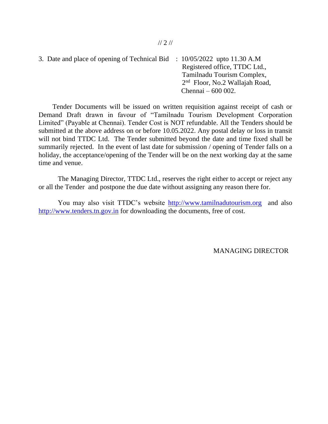3. Date and place of opening of Technical Bid : 10/05/2022 upto 11.30 A.M Registered office, TTDC Ltd., Tamilnadu Tourism Complex, 2<sup>nd</sup> Floor, No.2 Wallajah Road, Chennai – 600 002.

 Tender Documents will be issued on written requisition against receipt of cash or Demand Draft drawn in favour of "Tamilnadu Tourism Development Corporation Limited" (Payable at Chennai). Tender Cost is NOT refundable. All the Tenders should be submitted at the above address on or before 10.05.2022. Any postal delay or loss in transit will not bind TTDC Ltd. The Tender submitted beyond the date and time fixed shall be summarily rejected. In the event of last date for submission / opening of Tender falls on a holiday, the acceptance/opening of the Tender will be on the next working day at the same time and venue.

The Managing Director, TTDC Ltd., reserves the right either to accept or reject any or all the Tender and postpone the due date without assigning any reason there for.

You may also visit TTDC's website [http://www.tamilnadutourism.org](http://www.tamilnadutourism.org/) and also [http://www.tenders.tn.gov.in](http://www.tenders.tn.gov.in/) for downloading the documents, free of cost.

MANAGING DIRECTOR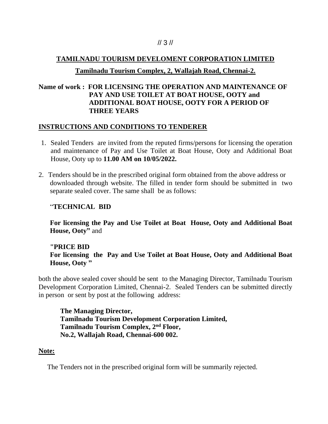### // 3 //

### **TAMILNADU TOURISM DEVELOMENT CORPORATION LIMITED**

### **Tamilnadu Tourism Complex, 2, Wallajah Road, Chennai-2.**

# **Name of work : FOR LICENSING THE OPERATION AND MAINTENANCE OF PAY AND USE TOILET AT BOAT HOUSE, OOTY and ADDITIONAL BOAT HOUSE, OOTY FOR A PERIOD OF THREE YEARS**

#### **INSTRUCTIONS AND CONDITIONS TO TENDERER**

- 1. Sealed Tenders are invited from the reputed firms/persons for licensing the operation and maintenance of Pay and Use Toilet at Boat House, Ooty and Additional Boat House, Ooty up to **11.00 AM on 10/05/2022.**
- 2. Tenders should be in the prescribed original form obtained from the above address or downloaded through website. The filled in tender form should be submitted in two separate sealed cover. The same shall be as follows:

#### "**TECHNICAL BID**

**For licensing the Pay and Use Toilet at Boat House, Ooty and Additional Boat House, Ooty"** and

# **"PRICE BID For licensing the Pay and Use Toilet at Boat House, Ooty and Additional Boat House, Ooty "**

both the above sealed cover should be sent to the Managing Director, Tamilnadu Tourism Development Corporation Limited, Chennai-2. Sealed Tenders can be submitted directly in person or sent by post at the following address:

**The Managing Director, Tamilnadu Tourism Development Corporation Limited, Tamilnadu Tourism Complex, 2nd Floor, No.2, Wallajah Road, Chennai-600 002.**

#### **Note:**

The Tenders not in the prescribed original form will be summarily rejected.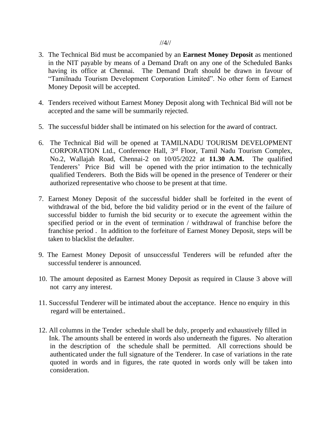- 3. The Technical Bid must be accompanied by an **Earnest Money Deposit** as mentioned in the NIT payable by means of a Demand Draft on any one of the Scheduled Banks having its office at Chennai. The Demand Draft should be drawn in favour of "Tamilnadu Tourism Development Corporation Limited". No other form of Earnest Money Deposit will be accepted.
- 4. Tenders received without Earnest Money Deposit along with Technical Bid will not be accepted and the same will be summarily rejected.
- 5. The successful bidder shall be intimated on his selection for the award of contract.
- 6. The Technical Bid will be opened at TAMILNADU TOURISM DEVELOPMENT CORPORATION Ltd., Conference Hall, 3<sup>rd</sup> Floor, Tamil Nadu Tourism Complex, No.2, Wallajah Road, Chennai-2 on 10/05/2022 at **11.30 A.M.** The qualified Tenderers' Price Bid will be opened with the prior intimation to the technically qualified Tenderers. Both the Bids will be opened in the presence of Tenderer or their authorized representative who choose to be present at that time.
- 7. Earnest Money Deposit of the successful bidder shall be forfeited in the event of withdrawal of the bid, before the bid validity period or in the event of the failure of successful bidder to furnish the bid security or to execute the agreement within the specified period or in the event of termination / withdrawal of franchise before the franchise period . In addition to the forfeiture of Earnest Money Deposit, steps will be taken to blacklist the defaulter.
- 9. The Earnest Money Deposit of unsuccessful Tenderers will be refunded after the successful tenderer is announced.
- 10. The amount deposited as Earnest Money Deposit as required in Clause 3 above will not carry any interest.
- 11. Successful Tenderer will be intimated about the acceptance. Hence no enquiry in this regard will be entertained..
- 12. All columns in the Tender schedule shall be duly, properly and exhaustively filled in Ink. The amounts shall be entered in words also underneath the figures. No alteration in the description of the schedule shall be permitted. All corrections should be authenticated under the full signature of the Tenderer. In case of variations in the rate quoted in words and in figures, the rate quoted in words only will be taken into consideration.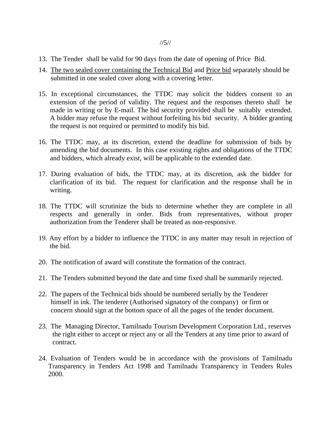- 13. The Tender shall be valid for 90 days from the date of opening of Price Bid.
- 14. The two sealed cover containing the Technical Bid and Price bid separately should be submitted in one sealed cover along with a covering letter.
- 15. In exceptional circumstances, the TTDC may solicit the bidders consent to an extension of the period of validity. The request and the responses thereto shall be made in writing or by E-mail. The bid security provided shall be suitably extended. A bidder may refuse the request without forfeiting his bid security. A bidder granting the request is not required or permitted to modify his bid.
- 16. The TTDC may, at its discretion, extend the deadline for submission of bids by amending the bid documents. In this case existing rights and obligations of the TTDC and bidders, which already exist, will be applicable to the extended date.
- 17. During evaluation of bids, the TTDC may, at its discretion, ask the bidder for clarification of its bid. The request for clarification and the response shall be in writing.
- 18. The TTDC will scrutinize the bids to determine whether they are complete in all respects and generally in order. Bids from representatives, without proper authorization from the Tenderer shall be treated as non-responsive.
- 19. Any effort by a bidder to influence the TTDC in any matter may result in rejection of the bid.
- 20. The notification of award will constitute the formation of the contract.
- 21. The Tenders submitted beyond the date and time fixed shall be summarily rejected.
- 22. The papers of the Technical bids should be numbered serially by the Tenderer himself in ink. The tenderer (Authorised signatory of the company) or firm or concern should sign at the bottom space of all the pages of the tender document.
- 23. The Managing Director, Tamilnadu Tourism Development Corporation Ltd., reserves the right either to accept or reject any or all the Tenders at any time prior to award of contract.
- 24. Evaluation of Tenders would be in accordance with the provisions of Tamilnadu Transparency in Tenders Act 1998 and Tamilnadu Transparency in Tenders Rules 2000.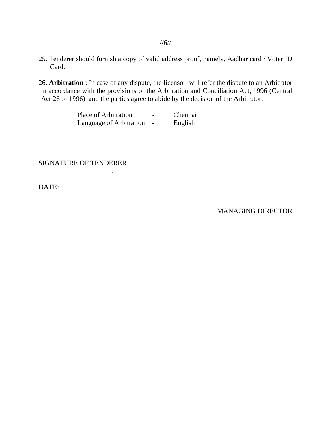25. Tenderer should furnish a copy of valid address proof, namely, Aadhar card / Voter ID Card.

26. **Arbitration** : In case of any dispute, the licensor will refer the dispute to an Arbitrator in accordance with the provisions of the Arbitration and Conciliation Act, 1996 (Central Act 26 of 1996) and the parties agree to abide by the decision of the Arbitrator.

| Place of Arbitration    | $\overline{\phantom{0}}$ | Chennai |
|-------------------------|--------------------------|---------|
| Language of Arbitration |                          | English |

SIGNATURE OF TENDERER

.

DATE:

MANAGING DIRECTOR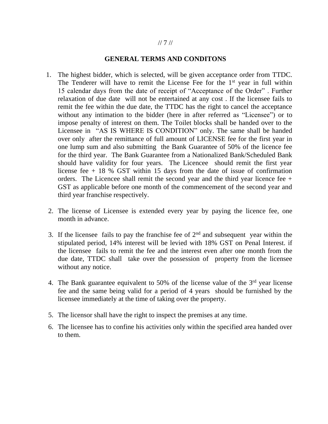#### // 7 //

### **GENERAL TERMS AND CONDITONS**

- 1. The highest bidder, which is selected, will be given acceptance order from TTDC. The Tenderer will have to remit the License Fee for the  $1<sup>st</sup>$  year in full within 15 calendar days from the date of receipt of "Acceptance of the Order" . Further relaxation of due date will not be entertained at any cost . If the licensee fails to remit the fee within the due date, the TTDC has the right to cancel the acceptance without any intimation to the bidder (here in after referred as "Licensee") or to impose penalty of interest on them. The Toilet blocks shall be handed over to the Licensee in "AS IS WHERE IS CONDITION" only. The same shall be handed over only after the remittance of full amount of LICENSE fee for the first year in one lump sum and also submitting the Bank Guarantee of 50% of the licence fee for the third year. The Bank Guarantee from a Nationalized Bank/Scheduled Bank should have validity for four years. The Licencee should remit the first year license fee  $+$  18 % GST within 15 days from the date of issue of confirmation orders. The Licencee shall remit the second year and the third year licence fee  $+$ GST as applicable before one month of the commencement of the second year and third year franchise respectively.
- 2. The license of Licensee is extended every year by paying the licence fee, one month in advance.
- 3. If the licensee fails to pay the franchise fee of  $2<sup>nd</sup>$  and subsequent year within the stipulated period, 14% interest will be levied with 18% GST on Penal Interest. if the licensee fails to remit the fee and the interest even after one month from the due date, TTDC shall take over the possession of property from the licensee without any notice.
- 4. The Bank guarantee equivalent to 50% of the license value of the  $3<sup>rd</sup>$  year license fee and the same being valid for a period of 4 years should be furnished by the licensee immediately at the time of taking over the property.
- 5. The licensor shall have the right to inspect the premises at any time.
- 6. The licensee has to confine his activities only within the specified area handed over to them.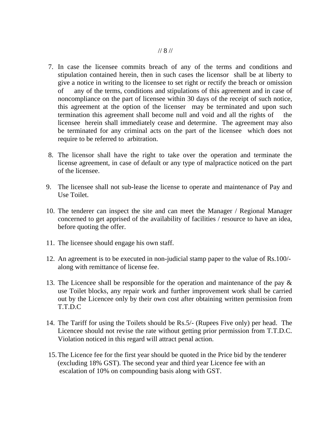- 7. In case the licensee commits breach of any of the terms and conditions and stipulation contained herein, then in such cases the licensor shall be at liberty to give a notice in writing to the licensee to set right or rectify the breach or omission of any of the terms, conditions and stipulations of this agreement and in case of noncompliance on the part of licensee within 30 days of the receipt of such notice, this agreement at the option of the licenser may be terminated and upon such termination this agreement shall become null and void and all the rights of the licensee herein shall immediately cease and determine. The agreement may also be terminated for any criminal acts on the part of the licensee which does not require to be referred to arbitration.
- 8. The licensor shall have the right to take over the operation and terminate the license agreement, in case of default or any type of malpractice noticed on the part of the licensee.
- 9. The licensee shall not sub-lease the license to operate and maintenance of Pay and Use Toilet.
- 10. The tenderer can inspect the site and can meet the Manager / Regional Manager concerned to get apprised of the availability of facilities / resource to have an idea, before quoting the offer.
- 11. The licensee should engage his own staff.
- 12. An agreement is to be executed in non-judicial stamp paper to the value of Rs.100/ along with remittance of license fee.
- 13. The Licencee shall be responsible for the operation and maintenance of the pay & use Toilet blocks, any repair work and further improvement work shall be carried out by the Licencee only by their own cost after obtaining written permission from T.T.D.C
- 14. The Tariff for using the Toilets should be Rs.5/- (Rupees Five only) per head. The Licencee should not revise the rate without getting prior permission from T.T.D.C. Violation noticed in this regard will attract penal action.
- 15.The Licence fee for the first year should be quoted in the Price bid by the tenderer (excluding 18% GST). The second year and third year Licence fee with an escalation of 10% on compounding basis along with GST.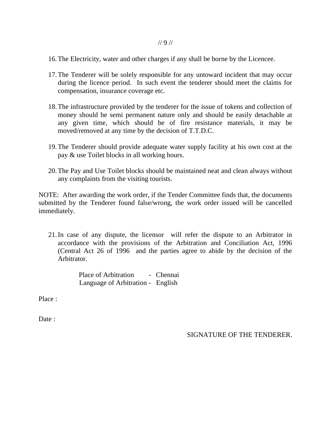- 16.The Electricity, water and other charges if any shall be borne by the Licencee.
- 17.The Tenderer will be solely responsible for any untoward incident that may occur during the licence period. In such event the tenderer should meet the claims for compensation, insurance coverage etc.
- 18.The infrastructure provided by the tenderer for the issue of tokens and collection of money should be semi permanent nature only and should be easily detachable at any given time, which should be of fire resistance materials, it may be moved/removed at any time by the decision of T.T.D.C.
- 19.The Tenderer should provide adequate water supply facility at his own cost at the pay & use Toilet blocks in all working hours.
- 20.The Pay and Use Toilet blocks should be maintained neat and clean always without any complaints from the visiting tourists.

NOTE: After awarding the work order, if the Tender Committee finds that, the documents submitted by the Tenderer found false/wrong, the work order issued will be cancelled immediately.

21.In case of any dispute, the licensor will refer the dispute to an Arbitrator in accordance with the provisions of the Arbitration and Conciliation Act, 1996 (Central Act 26 of 1996 and the parties agree to abide by the decision of the Arbitrator.

> Place of Arbitration - Chennai Language of Arbitration - English

Place :

Date :

SIGNATURE OF THE TENDERER.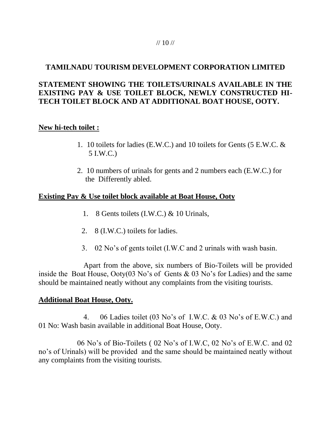#### $/$ // 10  $/$

# **TAMILNADU TOURISM DEVELOPMENT CORPORATION LIMITED**

# **STATEMENT SHOWING THE TOILETS/URINALS AVAILABLE IN THE EXISTING PAY & USE TOILET BLOCK, NEWLY CONSTRUCTED HI-TECH TOILET BLOCK AND AT ADDITIONAL BOAT HOUSE, OOTY.**

# **New hi-tech toilet :**

- 1. 10 toilets for ladies (E.W.C.) and 10 toilets for Gents (5 E.W.C. & 5 I.W.C.)
- 2. 10 numbers of urinals for gents and 2 numbers each (E.W.C.) for the Differently abled.

# **Existing Pay & Use toilet block available at Boat House, Ooty**

- 1. 8 Gents toilets (I.W.C.) & 10 Urinals,
- 2. 8 (I.W.C.) toilets for ladies.
- 3. 02 No's of gents toilet (I.W.C and 2 urinals with wash basin.

 Apart from the above, six numbers of Bio-Toilets will be provided inside the Boat House, Ooty(03 No's of Gents & 03 No's for Ladies) and the same should be maintained neatly without any complaints from the visiting tourists.

# **Additional Boat House, Ooty.**

 4. 06 Ladies toilet (03 No's of I.W.C. & 03 No's of E.W.C.) and 01 No: Wash basin available in additional Boat House, Ooty.

06 No's of Bio-Toilets ( 02 No's of I.W.C, 02 No's of E.W.C. and 02 no's of Urinals) will be provided and the same should be maintained neatly without any complaints from the visiting tourists.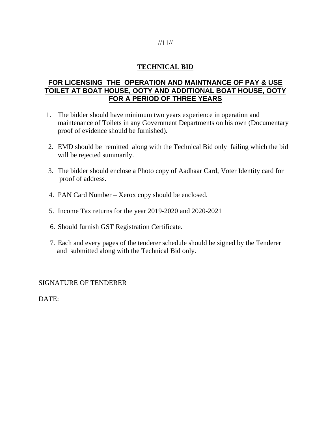## //11//

# **TECHNICAL BID**

# **FOR LICENSING THE OPERATION AND MAINTNANCE OF PAY & USE TOILET AT BOAT HOUSE, OOTY AND ADDITIONAL BOAT HOUSE, OOTY FOR A PERIOD OF THREE YEARS**

- 1. The bidder should have minimum two years experience in operation and maintenance of Toilets in any Government Departments on his own (Documentary proof of evidence should be furnished).
- 2. EMD should be remitted along with the Technical Bid only failing which the bid will be rejected summarily.
- 3. The bidder should enclose a Photo copy of Aadhaar Card, Voter Identity card for proof of address.
- 4. PAN Card Number Xerox copy should be enclosed.
- 5. Income Tax returns for the year 2019-2020 and 2020-2021
- 6. Should furnish GST Registration Certificate.
- 7. Each and every pages of the tenderer schedule should be signed by the Tenderer and submitted along with the Technical Bid only.

## SIGNATURE OF TENDERER

DATE: